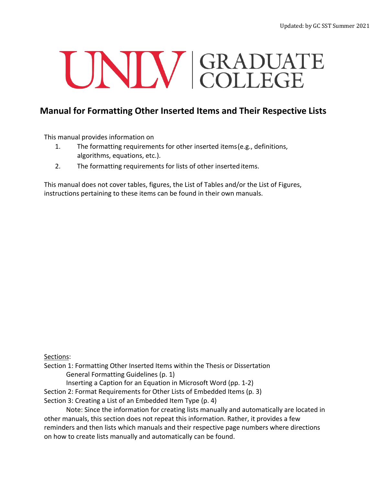# UNIV GRADUATE

# **Manual for Formatting Other Inserted Items and Their Respective Lists**

This manual provides information on

- 1. The formatting requirements for other inserted items(e.g., definitions, algorithms, equations, etc.).
- 2. The formatting requirements for lists of other inserted items.

This manual does not cover tables, figures, the List of Tables and/or the List of Figures, instructions pertaining to these items can be found in their own manuals.

Sections:

Section 1: Formatting Other Inserted Items within the Thesis or Dissertation General Formatting Guidelines (p. 1)

Inserting a Caption for an Equation in Microsoft Word (pp. 1-2)

Section 2: Format Requirements for Other Lists of Embedded Items (p. 3)

Section 3: Creating a List of an Embedded Item Type (p. 4)

Note: Since the information for creating lists manually and automatically are located in other manuals, this section does not repeat this information. Rather, it provides a few reminders and then lists which manuals and their respective page numbers where directions on how to create lists manually and automatically can be found.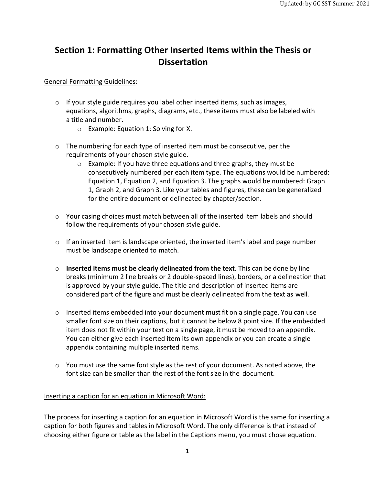## **Section 1: Formatting Other Inserted Items within the Thesis or Dissertation**

#### General Formatting Guidelines:

- o If your style guide requires you label other inserted items, such as images, equations, algorithms, graphs, diagrams, etc., these items must also be labeled with a title and number.
	- o Example: Equation 1: Solving for X.
- $\circ$  The numbering for each type of inserted item must be consecutive, per the requirements of your chosen style guide.
	- o Example: If you have three equations and three graphs, they must be consecutively numbered per each item type. The equations would be numbered: Equation 1, Equation 2, and Equation 3. The graphs would be numbered: Graph 1, Graph 2, and Graph 3. Like your tables and figures, these can be generalized for the entire document or delineated by chapter/section.
- $\circ$  Your casing choices must match between all of the inserted item labels and should follow the requirements of your chosen style guide.
- o If an inserted item is landscape oriented, the inserted item's label and page number must be landscape oriented to match.
- o **Inserted items must be clearly delineated from the text**. This can be done by line breaks (minimum 2 line breaks or 2 double-spaced lines), borders, or a delineation that is approved by your style guide. The title and description of inserted items are considered part of the figure and must be clearly delineated from the text as well.
- $\circ$  Inserted items embedded into your document must fit on a single page. You can use smaller font size on their captions, but it cannot be below 8 point size. If the embedded item does not fit within your text on a single page, it must be moved to an appendix. You can either give each inserted item its own appendix or you can create a single appendix containing multiple inserted items.
- $\circ$  You must use the same font style as the rest of your document. As noted above, the font size can be smaller than the rest of the font size in the document.

#### Inserting a caption for an equation in Microsoft Word:

The process for inserting a caption for an equation in Microsoft Word is the same for inserting a caption for both figures and tables in Microsoft Word. The only difference is that instead of choosing either figure or table as the label in the Captions menu, you must chose equation.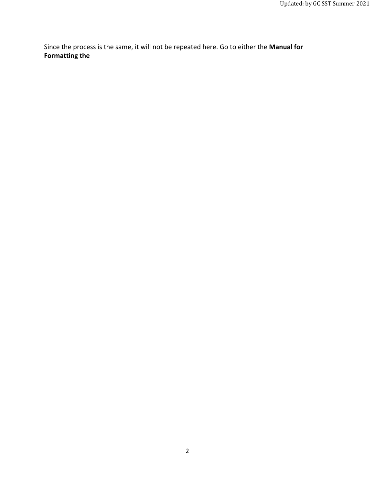Since the process is the same, it will not be repeated here. Go to either the **Manual for Formatting the**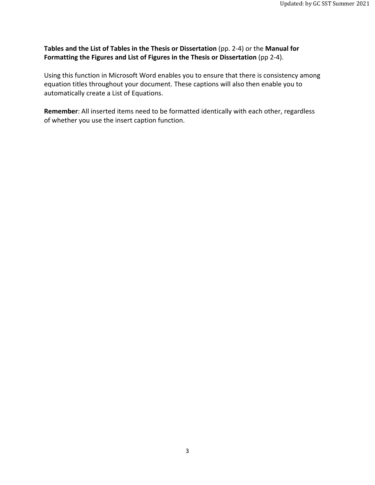#### **Tables and the List of Tables in the Thesis or Dissertation** (pp. 2-4) or the **Manual for Formatting the Figures and List of Figures in the Thesis or Dissertation** (pp 2-4).

Using this function in Microsoft Word enables you to ensure that there is consistency among equation titles throughout your document. These captions will also then enable you to automatically create a List of Equations.

**Remember**: All inserted items need to be formatted identically with each other, regardless of whether you use the insert caption function.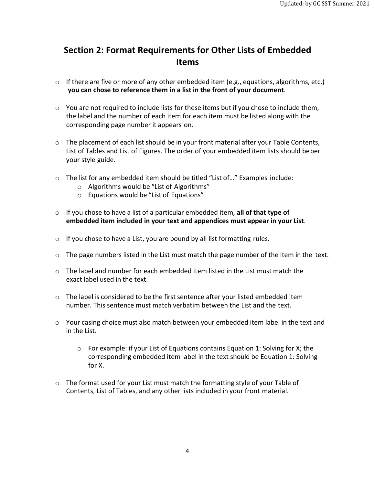## **Section 2: Format Requirements for Other Lists of Embedded Items**

- $\circ$  If there are five or more of any other embedded item (e.g., equations, algorithms, etc.) **you can chose to reference them in a list in the front of your document**.
- o You are not required to include lists for these items but if you chose to include them, the label and the number of each item for each item must be listed along with the corresponding page number it appears on.
- $\circ$  The placement of each list should be in your front material after your Table Contents, List of Tables and List of Figures. The order of your embedded item lists should beper your style guide.
- o The list for any embedded item should be titled "List of…" Examples include:
	- o Algorithms would be "List of Algorithms"
	- o Equations would be "List of Equations"
- o If you chose to have a list of a particular embedded item, **all of that type of embedded item included in your text and appendices must appear in your List**.
- o If you chose to have a List, you are bound by all list formatting rules.
- $\circ$  The page numbers listed in the List must match the page number of the item in the text.
- $\circ$  The label and number for each embedded item listed in the List must match the exact label used in the text.
- $\circ$  The label is considered to be the first sentence after your listed embedded item number. This sentence must match verbatim between the List and the text.
- $\circ$  Your casing choice must also match between your embedded item label in the text and in the List.
	- o For example: if your List of Equations contains Equation 1: Solving for X; the corresponding embedded item label in the text should be Equation 1: Solving for X.
- $\circ$  The format used for your List must match the formatting style of your Table of Contents, List of Tables, and any other lists included in your front material.